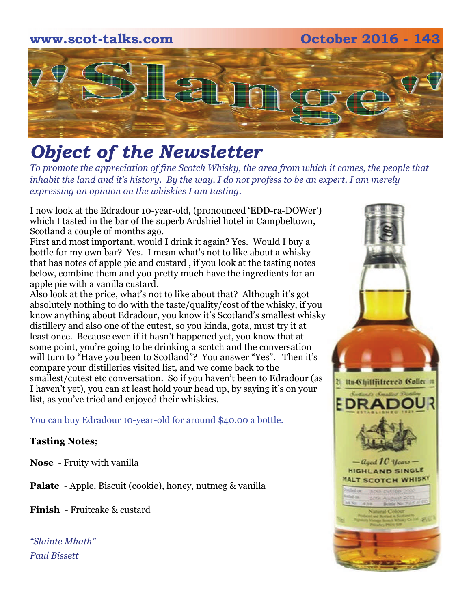# **www.scot-talks.com October 2016 - 143** [2]

# *Object of the Newsletter*

*To promote the appreciation of fine Scotch Whisky, the area from which it comes, the people that inhabit the land and it's history. By the way, I do not profess to be an expert, I am merely expressing an opinion on the whiskies I am tasting.* 

I now look at the Edradour 10-year-old, (pronounced 'EDD-ra-DOWer') which I tasted in the bar of the superb Ardshiel hotel in Campbeltown, Scotland a couple of months ago.

First and most important, would I drink it again? Yes. Would I buy a bottle for my own bar? Yes. I mean what's not to like about a whisky that has notes of apple pie and custard , if you look at the tasting notes below, combine them and you pretty much have the ingredients for an apple pie with a vanilla custard.

Also look at the price, what's not to like about that? Although it's got absolutely nothing to do with the taste/quality/cost of the whisky, if you know anything about Edradour, you know it's Scotland's smallest whisky distillery and also one of the cutest, so you kinda, gota, must try it at least once. Because even if it hasn't happened yet, you know that at some point, you're going to be drinking a scotch and the conversation will turn to "Have you been to Scotland"? You answer "Yes". Then it's compare your distilleries visited list, and we come back to the smallest/cutest etc conversation. So if you haven't been to Edradour (as I haven't yet), you can at least hold your head up, by saying it's on your list, as you've tried and enjoyed their whiskies.

You can buy Edradour 10-year-old for around \$40.00 a bottle.

#### **Tasting Notes;**

**Nose** - Fruity with vanilla

**Palate** - Apple, Biscuit (cookie), honey, nutmeg & vanilla

**Finish** - Fruitcake & custard

*"Slainte Mhath" Paul Bissett*

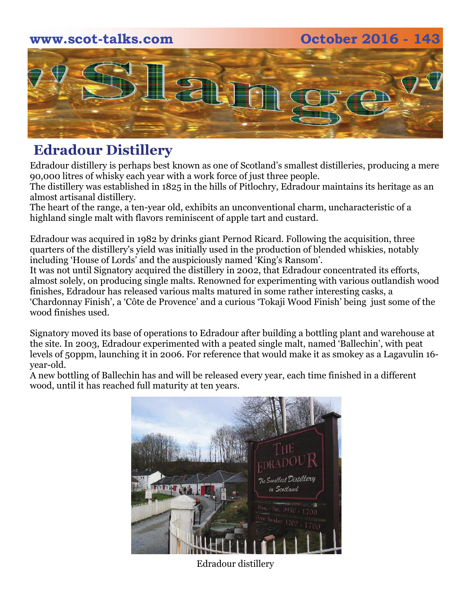### **www.scot-talks.com October 2016 - 143**



# **Edradour Distillery**

Edradour distillery is perhaps best known as one of Scotland's smallest distilleries, producing a mere 90,000 litres of whisky each year with a work force of just three people.

The distillery was established in 1825 in the hills of Pitlochry, Edradour maintains its heritage as an almost artisanal distillery.

The heart of the range, a ten-year old, exhibits an unconventional charm, uncharacteristic of a highland single malt with flavors reminiscent of apple tart and custard.

Edradour was acquired in 1982 by drinks giant Pernod Ricard. Following the acquisition, three quarters of the distillery's yield was initially used in the production of blended whiskies, notably including 'House of Lords' and the auspiciously named 'King's Ransom'.

It was not until Signatory acquired the distillery in 2002, that Edradour concentrated its efforts, almost solely, on producing single malts. Renowned for experimenting with various outlandish wood finishes, Edradour has released various malts matured in some rather interesting casks, a 'Chardonnay Finish', a 'Côte de Provence' and a curious 'Tokaji Wood Finish' being just some of the wood finishes used.

Signatory moved its base of operations to Edradour after building a bottling plant and warehouse at the site. In 2003, Edradour experimented with a peated single malt, named 'Ballechin', with peat levels of 50ppm, launching it in 2006. For reference that would make it as smokey as a Lagavulin 16 year-old.

A new bottling of Ballechin has and will be released every year, each time finished in a different wood, until it has reached full maturity at ten years.



Edradour distillery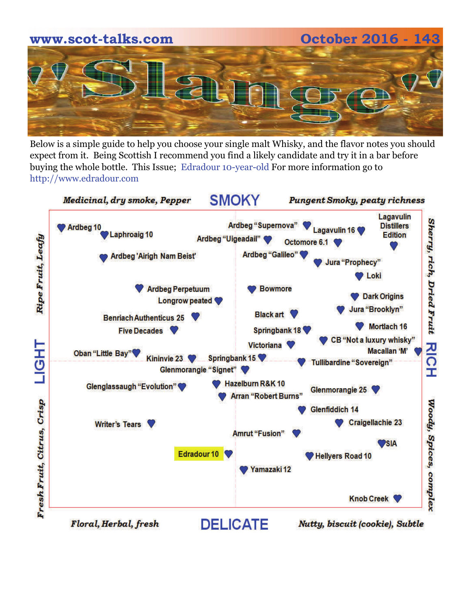

Below is a simple guide to help you choose your single malt Whisky, and the flavor notes you should expect from it. Being Scottish I recommend you find a likely candidate and try it in a bar before buying the whole bottle. This Issue; Edradour 10-year-old For more information go to http://www.edradour.com

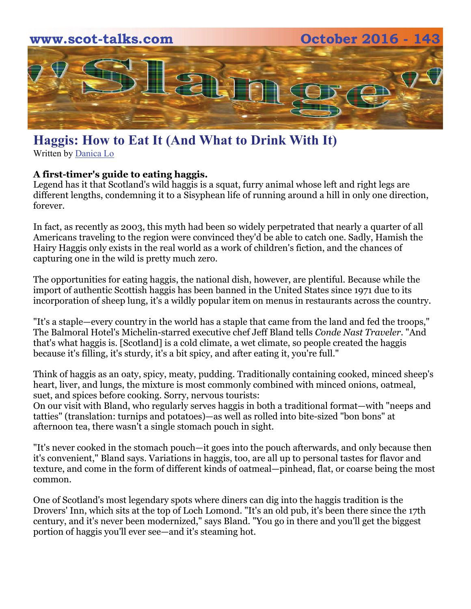

## **Haggis: How to Eat It (And What to Drink With It)**

Written by [Danica Lo](http://www.cntraveler.com/contributors/danica-lo)

#### **A first-timer's guide to eating haggis.**

Legend has it that [Scotland's](http://www.cntraveler.com/galleries/2016-04-06/10-amazing-things-you-need-to-see-in-scotland) wild haggis is a squat, furry animal whose left and right legs are different lengths, condemning it to a Sisyphean life of running around a hill in only one direction, forever.

In fact, as recently as 2003, this myth had been so widely perpetrated that nearly [a quarter of all](https://www.theguardian.com/uk/2003/nov/27/travelnews.travel)  [Americans](https://www.theguardian.com/uk/2003/nov/27/travelnews.travel) traveling to the region were convinced they'd be able to catch one. Sadly, [Hamish the](https://www.amazon.co.uk/Hamish-Hairy-Haggis-Lomond-Paterson/dp/1842040812)  [Hairy Haggis](https://www.amazon.co.uk/Hamish-Hairy-Haggis-Lomond-Paterson/dp/1842040812) only exists in the real world as a work of children's fiction, and the chances of capturing one in the wild is pretty much zero.

The opportunities for eating haggis, the national dish, however, are plentiful. Because while the import of authentic Scottish haggis has been banned in the United States since 1971 due to its incorporation of sheep lung, it's a wildly popular item on menus in restaurants across the country.

"It's a staple—every country in the world has a staple that came from the land and fed the troops," [The Balmoral Hotel](http://www.cntraveler.com/hotels/edinburgh/the-balmoral-hotel)'s Michelin-starred executive chef Jeff Bland tells *Conde Nast Traveler*. "And that's what haggis is. [Scotland] is a cold climate, a wet climate, so people created the haggis because it's filling, it's sturdy, it's a bit spicy, and after eating it, you're full."

Think of haggis as an oaty, spicy, meaty, pudding. Traditionally containing cooked, minced sheep's heart, liver, and lungs, the mixture is most commonly combined with minced onions, oatmeal, suet, and spices before cooking. Sorry, nervous tourists:

On our visit with Bland, who regularly [serves haggis](http://www.cntraveler.com/galleries/2015-01-08/10-foods-you-must-try-in-scotland-haggis-tablet-marmalade) in both a traditional format—with "neeps and tatties" (translation: turnips and potatoes)—as well as rolled into bite-sized "bon bons" at afternoon tea, there wasn't a single stomach pouch in sight.

"It's never cooked in the stomach pouch—it goes into the pouch afterwards, and only because then it's convenient," Bland says. Variations in haggis, too, are all up to personal tastes for flavor and texture, and come in the form of different kinds of oatmeal—pinhead, flat, or coarse being the most common.

One of Scotland's most legendary spots where diners can dig into the haggis tradition is the [Drovers' Inn,](http://www.droversinn.co.uk/) which sits at the top of Loch Lomond. "It's an old pub, it's been there since the 17th century, and it's never been modernized," says Bland. "You go in there and you'll get the biggest portion of haggis you'll ever see—and it's steaming hot.